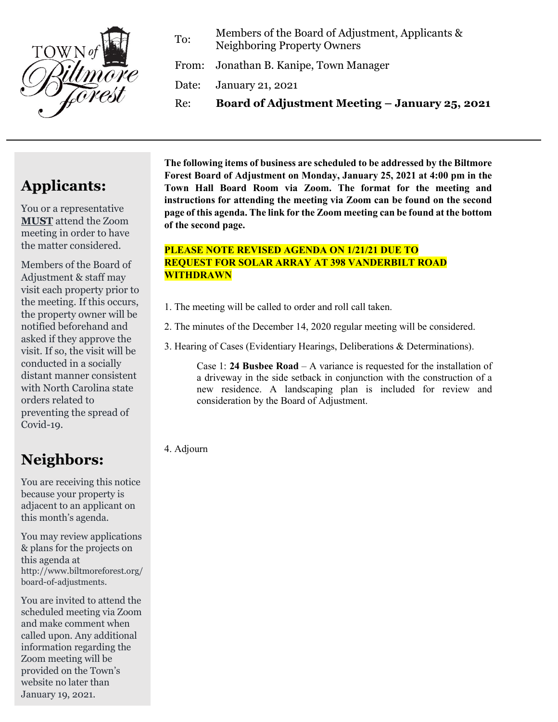

To: Members of the Board of Adjustment, Applicants & Neighboring Property Owners

From: Jonathan B. Kanipe, Town Manager

Date: January 21, 2021

Re: **Board of Adjustment Meeting – January 25, 2021**

# **Applicants:**

You or a representative **MUST** attend the Zoom meeting in order to have the matter considered.

Members of the Board of Adjustment & staff may visit each property prior to the meeting. If this occurs, the property owner will be notified beforehand and asked if they approve the visit. If so, the visit will be conducted in a socially distant manner consistent with North Carolina state orders related to preventing the spread of Covid-19.

## **Neighbors:**

You are receiving this notice because your property is adjacent to an applicant on this month's agenda.

You may review applications & plans for the projects on this agenda at http://www.biltmoreforest.org/ board-of-adjustments.

You are invited to attend the scheduled meeting via Zoom and make comment when called upon. Any additional information regarding the Zoom meeting will be provided on the Town's website no later than January 19, 2021.

**The following items of business are scheduled to be addressed by the Biltmore Forest Board of Adjustment on Monday, January 25, 2021 at 4:00 pm in the Town Hall Board Room via Zoom. The format for the meeting and instructions for attending the meeting via Zoom can be found on the second page of this agenda. The link for the Zoom meeting can be found at the bottom of the second page.**

## **PLEASE NOTE REVISED AGENDA ON 1/21/21 DUE TO REQUEST FOR SOLAR ARRAY AT 398 VANDERBILT ROAD WITHDRAWN**

- 1. The meeting will be called to order and roll call taken.
- 2. The minutes of the December 14, 2020 regular meeting will be considered.
- 3. Hearing of Cases (Evidentiary Hearings, Deliberations & Determinations).

Case 1: **24 Busbee Road** – A variance is requested for the installation of a driveway in the side setback in conjunction with the construction of a new residence. A landscaping plan is included for review and consideration by the Board of Adjustment.

4. Adjourn